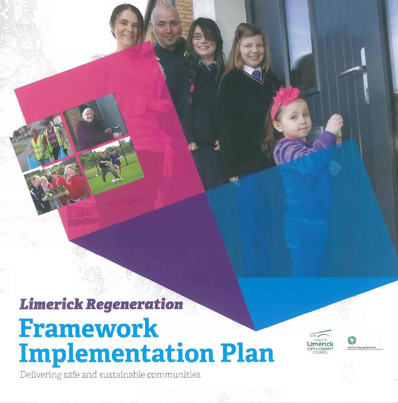## **Limerick Regeneration Framework Implementation Plan**

Delivering safe and sustainable communities



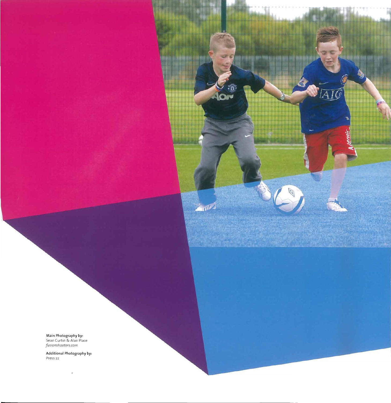**Main Photography by:**<br>Sean Curtin & Alan Place<br>*fusionshooters.com* 

**COLLEGE** 

 $\mathcal{L}_{\text{eff}}$ 

**Additional Photography by:**<br>Press 22

 $\mathcal{L}^{\prime}$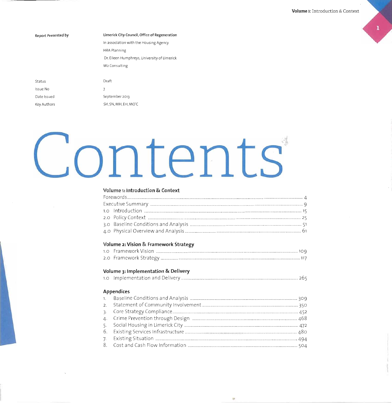#### **Report Presented by** Limerick City Council, Office of Regeneration In association with the Housing Agency **HRA Planning** Dr. Eileen Humphreys, University of Limerick W2 Consulting

| Status      | Draft                |
|-------------|----------------------|
| Issue No    |                      |
| Date Issued | September 2013       |
| Key Authors | SH, SN, MH, EH, MO'C |

# Contents

#### Volume 1: Introduction & Context

#### **Volume 2: Vision & Framework Strategy**

#### Volume 3: Implementation & Delivery

|--|--|--|--|--|--|

#### **Appendices**

 $\overline{\sigma}$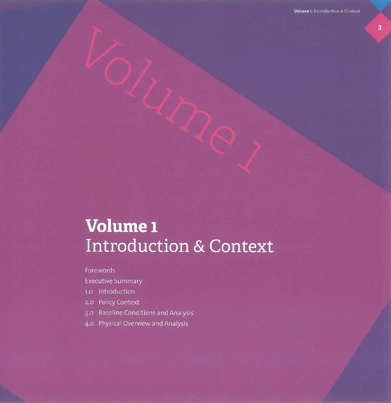## Volume 1 **Introduction & Context**

Forewords

**Executive Summary** 

- 1.0 Introduction
- 2.0 Policy Context
- 3.0 Baseline Conditions and Analysis
- 4.0 Physical Overview and Analysis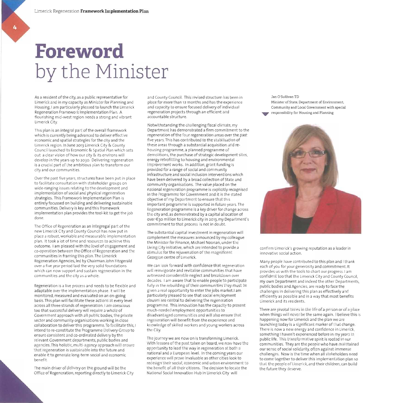## **Foreword by the Minister**

As a resident of the city, as a public representative for Limerick and in my capacity as Minister for Planning and Housing, I am particularly pleased to launch the Limerick Regeneration Framework Implementation Plan. A flourishing mid-west region needs a strong and vibrant Limerick City.

This plan is an integral part of the overall framework which is currently being advanced to deliver effective economic and spatial strategies for the city and the Limerick region. In June 2013 Limerick City & County Council launched its Economic & Spatial Plan which sets out a clear vision of how our city & its environs will develop in the years up to 2030. Delivering regeneration is a crucial part of the ambitious plan to transform our city and our communities.

Over the past five years, structures have been put in place to facilitate consultation with stakeholder groups on wide-ranging issues relating to the development and implementation of social and physical regeneration strategies. This Framework Implementation Plan is entirely focussed on building and delivering sustainable communities. Delivery is key and this framework implementation plan provides the tool-kit to get the job done.

The Office of Regeneration as an integregal part of the new Limerick City and County Council has now put in place a robust, workable and measurable implementation plan. It took a lot of time and resources to achieve this outcome. I am pleased with the level of engagement and co-operation between the Office of Regeneration and the communities in framing this plan. The Limerick Regeneration Agencies, led by Chairman John Fitzgerald over a five year period laid the very solid foundations which can now support and sustain regeneration in the communities and the city as a whole.

Regeneration is a live process and needs to be flexible and adaptable over the implementation phase. It will be monitored, measured and evaluated on an on-going basis. This plan will facilitate these actions at every level across all three strands of regeneration. I am conscious too that successful delivery will require a whole of Government approach with all public bodies, the private sector and community organisations working in close collaboration to deliver this programme. To facilitate this, I intend to re-constitute the Programme Delivery Group to ensure consistent and co-ordinated delivery by the relevant Government departments, public bodies and agencies. This holistic, multi-agency approach will ensure that regeneration is sustainable into the future and enable it to generate long-term social and economic benefit.

The main driver of delivery on the ground will be the Office of Regeneration, reporting directly to Limerick City and County Council. This revised structure has been in place for more than 12 months and has the experience and capacity to ensure focused delivery of individual regeneration projects through an efficient and accountable structure.

Notwithstanding the challenging fiscal climate, my Department has demonstrated a firm commitment to the regeneration ofthe four regeneration areas over the past five years. This has contributed to the stabilisation of these areas through a substantial acquisition and rehousing programme, a planned programme of demolitions, the purchase of strategic development sites, energy retrofitting to housing and environmental improvement works. In addition, grant funding is provided for a range of social and community infrastructure and social inclusion interventions which have been delivered by a broad collection of State and community organisations. The value placed on the national regeneration programme is explicitly recognised in the Programme for Government and it is the stated objective of my Department to ensure that this important programme is supported in future years. The Regeneration programme is a key driver for change across the city and, as demonstrated by a capital allocation of over €30 million to Limerick city in 2013, my Department's commitment to that process is not in doubt.

The substantial capital investment in regeneration will complement the measures announced by my colleague the Minister for Finance, Michael Noonan, under the Living City initiative, which are intended to provide a stimulus for the rejuvenation of the magnificent Georgian centre of Limerick.

We can look forward with confidence that regeneration will reinvigorate and revitalise communities that have witnessed considerable neglect and breakdown over decades. I am aware that to enable people to participate fully in the rebuilding of their communities they must be given a real opportunity to enter the jobs market.1 am particularly pleased to see that social employment clauses are central to delivering the regeneration programme. This innovation has the capacity to present much-needed employment opportunities to disadvantaged communities and will also ensure that regeneration will benefit from the experience and knowledge of skilled workers and young workers across the City.

The journey we are now on is transforming Limerick. With lessons of the past taken on board, we now have the opportunity to lead the way in regeneration at both a national and a European level. In the coming years our experience will prove invaluable as other cities look to redesign their social, economic and urban environment to the benefit of all their citizens. The decision to locate the National Social Innovation Hub in Limerick City will

Jan O'Sullivan TO Minister of State, Department of Environment. Community and Local Government with special responsibility for Housing and Planning



confirm Limerick's growing reputation as a leader in innovative social action.

Many people have contributed to this plan and I thank each of you for your generosity and commitment. It provides us with the tools to chart our progress. I am confident too that the Limerick City and County Council, my own Department and indeed the other Departments, public bodies and Agencies, are ready to face the challenges in delivering this plan as effectively and efficiently as possible and in a way that most benefits Limerick and its residents.

There are pivotal times in the life of a person or of a place when things will never be the same again. I believe this is happening now for Limerick and the plan we are launching today is a significant marker of that change. There is now a new energy and confidence in Limerick, something I haven't experienced before in my years in public life. This transformative spirit is rooted in our communities. They are the people who have maintained our sense of social solidarity, often against immense challenges. Now is the time when all stakeholders need to come together to deliver this implementation plan so that the people of Limerick, and their children, can build the future they deserve.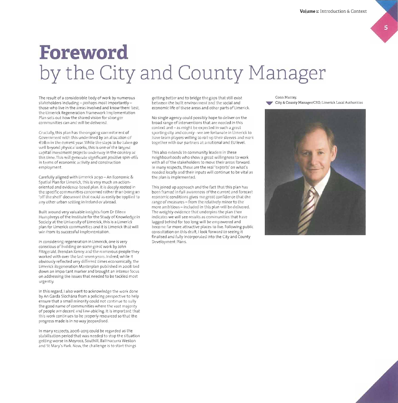## **Foreword by the City and County Manager**

The result of a considerable body of work by numerous stakeholders including - perhaps most importantlythose who live in the areas involved and know them best, the Limerick Regeneration Framework Implementation Plan sets out how the shared vision for stronger communities can and will be delivered.

Crucially, this plan has the ongoing commitment of Government with this underlined by an allocation of €28m in the current year. While the steps to be taken go well beyond physical works, this is one of the largest capital investment projects underway in the country at this time. This will generate significant positive spin-offs in terms of economic activity and construction employment.

Carefully aligned with Limerick 2030 - An Economic & Spatial Plan for Limerick, this is very much an actionoriented and evidence-based plan. It is deeply rooted in the specific communities concerned rather than being an 'off the shelf document that could as easily be applied to any other urban setting in Ireland or abroad.

Built around very valuable insights from Dr Eileen Humphreys of the Institute for the Study of Knowledge in Society at the University of Limerick, this is a Limerick plan for Limerick communities and it is Limerick that will win from its successful implementation.

In considering regeneration in Limerick, one is very conscious of building on some great work by John Fitzgerald, Brendan Kenny and the numerous people they worked with over the last seven years. Indeed, while it obviously reflected very different times economically, the Limerick Regeneration Masterplan published in 2008 laid down an important marker and brought an intense focus on addressing the issues that needed to be tackled most urgently.

In this regard, I also want to acknowledge the work done by An Garda Siochána from a policing perspective to help ensure that a small minority could not continue to sully the good name of communities where the vast majority of people are decent and law-abiding. It is important that this work continues to be properly resourced so that the progress made is in no way jeopardised.

In many respects, 2006-2013 could be regarded as the stabilisation period that was needed to stop the situation getting worse in Moyross, Southill, Ballinacurra Weston and St Mary's Park. Now, the challenge is to start things

getting better and to bridge the gaps that still exist between the built environment and the social and economic life of these areas and other parts of Limerick.

No single agency could possibly hope to deliver on the broad range of interventions that are needed in this context and - as might be expected in such a great sporting city and county - we are fortunate in Limerick to have team players willing to roll up their sleeves and work together with our partners at a national and EU level.

This also extends to community leaders in these neighbourhoods who show a great willingness to work with all of the stakeholders to move their areas forward. In many respects, these are the real 'experts' on what's needed locally and their inputs will continue to be vital as the plan is implemented.

This joined up approach and the fact that this plan has been framed in full awareness of the current and forecast economic conditions gives me great confidence that the range of measures - from the relatively minor to the more ambitious - included in this plan will be delivered. The weighty evidence that underpins the plan then indicates we will see results as communities that have lagged behind for too long will be empowered and become far more attractive places to live. Following public consultation on this draft, I look forward to seeing it finalised and fully incorporated into the City and County Development Plans.

Conn Murray, City & County Manager/CEO, Limerick Local Authorities



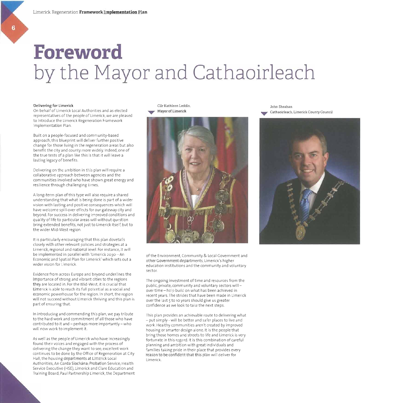## **Foreword by the Mayor and Cathaoirleach**

#### **Delivering for Limerick**

On behalf of Limerick Local Authorities and as elected representatives of the people of Limerick, we are pleased to introduce the Limerick Regeneration Framework Implementation Plan.

Built on a people-focused and community-based approach, this blueprint will deliver further positive change for those living in the regeneration areas but also benefit the city and county more widely. Indeed, one of the true tests of a plan like this is that it will leave a lasting legacy of benefits.

Delivering on the ambition in this plan will require a collaborative approach between agencies and the communities involved who have shown great energy and resilience through challenging times.

A long-term plan of this type will also require a shared understanding that what is being done is part of a wider vision with lasting and positive consequences which will have welcome spill-over effects for our gateway city and beyond. For success in delivering improved conditions and quality of life to particular areas will without question bring extended benefits, not just to Limerick itself, but to the wider Mid-West region.

It is particularly encouraging that this plan dovetails closely with other relevant policies and strategies at a Limerick, regional and national level. For instance, it will be implemented in parallel with 'Limerick 2030 - An Economic and Spatial Plan for Limerick' which sets out a wider vision for Limerick.

Evidence from across Europe and beyond underlines the importance of strong and vibrant cities to the regions they are located in. For the Mid-West, it is crucial that Limerick is able to reach its full potential as a social and economic powerhouse for the region. In short, the region will not succeed without Limerick thriving and this plan is part of ensuring that.

In introducing and commending this plan, we pay tribute to the hard work and commitment of all those who have contributed to it and - perhaps more importantly - who will now work to implement it.

As well as the people of Limerick who have increasingly found their voices and engaged with the process of delivering the change they want to see, excellent work continues to be done by the Office of Regeneration at City Hall, the housing departments at Limerick Local Authorities, An Garda Siochána; Probation Service; Health Service Executive (HSE), Limerick and Clare Education and Training Board, Paul Partnership Limerick, the Department

Cllr Kathleen Leddin, Mayor of Limerick



John Sheahan Cathaoirleach, Limerick County Council



of the Environment, Community & Local Government and other Government departments, Limerick's higher education institutions and the community and voluntary sector.

The ongoing investment of time and resources from the public, private, community and voluntary sectors will over time - help build on what has been achieved in recent years. The strides that have been made in Limerick over the last 5 to 10 years should give us greater confidence as we look to take the next steps.

This plan provides an achievable route to delivering what - put simply - will be better and safer places to live and work. Healthy communities aren't created by improved housing or smarter design alone. It is the people that bring those homes and streets to life and Limerick is very fortunate in this regard. It is this combination of careful planning and ambition with great individuals and families taking pride in their place that provides every reason to be confident that this plan will deliver for Limerick.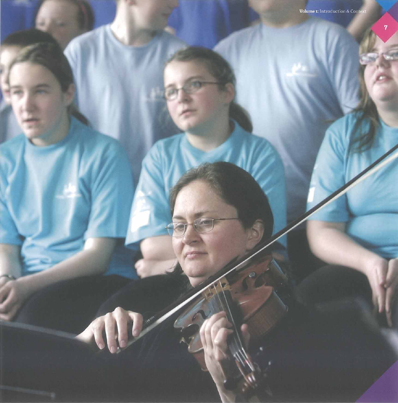$\overline{\textbf{7}}$